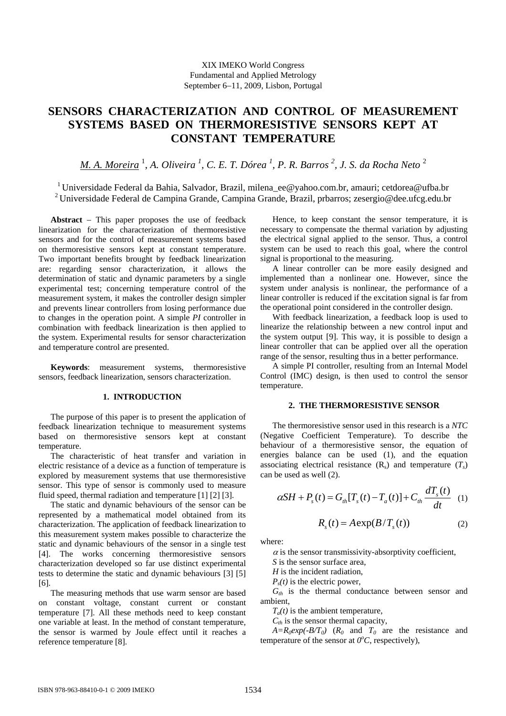# **SENSORS CHARACTERIZATION AND CONTROL OF MEASUREMENT SYSTEMS BASED ON THERMORESISTIVE SENSORS KEPT AT CONSTANT TEMPERATURE**

*M. A. Moreira* <sup>1</sup> , *A. Oliveira 1 , C. E. T. Dórea <sup>1</sup> , P. R. Barros 2 , J. S. da Rocha Neto* <sup>2</sup>

<sup>1</sup> Universidade Federal da Bahia, Salvador, Brazil, milena ee@yahoo.com.br, amauri; cetdorea@ufba.br 2 Universidade Federal de Campina Grande, Campina Grande, Brazil, prbarros; zesergio@dee.ufcg.edu.br

**Abstract** − This paper proposes the use of feedback linearization for the characterization of thermoresistive sensors and for the control of measurement systems based on thermoresistive sensors kept at constant temperature. Two important benefits brought by feedback linearization are: regarding sensor characterization, it allows the determination of static and dynamic parameters by a single experimental test; concerning temperature control of the measurement system, it makes the controller design simpler and prevents linear controllers from losing performance due to changes in the operation point. A simple *PI* controller in combination with feedback linearization is then applied to the system. Experimental results for sensor characterization and temperature control are presented.

**Keywords**: measurement systems, thermoresistive sensors, feedback linearization, sensors characterization.

## **1. INTRODUCTION**

The purpose of this paper is to present the application of feedback linearization technique to measurement systems based on thermoresistive sensors kept at constant temperature.

The characteristic of heat transfer and variation in electric resistance of a device as a function of temperature is explored by measurement systems that use thermoresistive sensor. This type of sensor is commonly used to measure fluid speed, thermal radiation and temperature [1] [2] [3].

The static and dynamic behaviours of the sensor can be represented by a mathematical model obtained from its characterization. The application of feedback linearization to this measurement system makes possible to characterize the static and dynamic behaviours of the sensor in a single test [4]. The works concerning thermoresistive sensors characterization developed so far use distinct experimental tests to determine the static and dynamic behaviours [3] [5] [6].

The measuring methods that use warm sensor are based on constant voltage, constant current or constant temperature [7]. All these methods need to keep constant one variable at least. In the method of constant temperature, the sensor is warmed by Joule effect until it reaches a reference temperature [8].

Hence, to keep constant the sensor temperature, it is necessary to compensate the thermal variation by adjusting the electrical signal applied to the sensor. Thus, a control system can be used to reach this goal, where the control signal is proportional to the measuring.

A linear controller can be more easily designed and implemented than a nonlinear one. However, since the system under analysis is nonlinear, the performance of a linear controller is reduced if the excitation signal is far from the operational point considered in the controller design.

With feedback linearization, a feedback loop is used to linearize the relationship between a new control input and the system output [9]. This way, it is possible to design a linear controller that can be applied over all the operation range of the sensor, resulting thus in a better performance.

A simple PI controller, resulting from an Internal Model Control (IMC) design, is then used to control the sensor temperature.

### **2. THE THERMORESISTIVE SENSOR**

The thermoresistive sensor used in this research is a *NTC* (Negative Coefficient Temperature). To describe the behaviour of a thermoresistive sensor, the equation of energies balance can be used (1), and the equation associating electrical resistance  $(R_s)$  and temperature  $(T_s)$ can be used as well (2).

$$
\alpha SH + P_s(t) = G_{th}[T_s(t) - T_a(t)] + C_{th} \frac{dT_s(t)}{dt}
$$
 (1)

$$
R_s(t) = A \exp(B/T_s(t))
$$
 (2)

where:

 $\alpha$  is the sensor transmissivity-absorptivity coefficient,

*S* is the sensor surface area,

*H* is the incident radiation,

 $P<sub>s</sub>(t)$  is the electric power, *Gth* is the thermal conductance between sensor and ambient,

 $T_a(t)$  is the ambient temperature,

 $C_{th}$  is the sensor thermal capacity,

 $A=R_0exp(-B/T_0)$  ( $R_0$  and  $T_0$  are the resistance and temperature of the sensor at  $0^{\circ}$ C, respectively),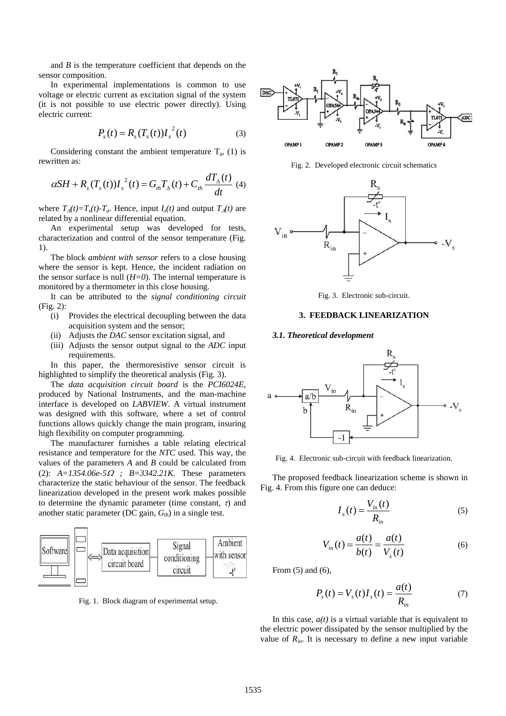and *B* is the temperature coefficient that depends on the sensor composition.

In experimental implementations is common to use voltage or electric current as excitation signal of the system (it is not possible to use electric power directly). Using electric current:

$$
P_s(t) = R_s(T_s(t))I_s^{2}(t)
$$
 (3)

Considering constant the ambient temperature  $T_a$ , (1) is rewritten as:

$$
\alpha SH + R_s(T_s(t))I_s^2(t) = G_{th}T_\Delta(t) + C_{th}\frac{dT_\Delta(t)}{dt}
$$
 (4)

where  $T_A(t) = T_s(t) - T_a$ . Hence, input  $I_s(t)$  and output  $T_A(t)$  are related by a nonlinear differential equation.

An experimental setup was developed for tests, characterization and control of the sensor temperature (Fig. 1).

The block *ambient with sensor* refers to a close housing where the sensor is kept. Hence, the incident radiation on the sensor surface is null  $(H=0)$ . The internal temperature is monitored by a thermometer in this close housing.

It can be attributed to the *signal conditioning circuit* (Fig. 2):

- (i) Provides the electrical decoupling between the data acquisition system and the sensor;
- (ii) Adjusts the *DAC* sensor excitation signal, and
- (iii) Adjusts the sensor output signal to the *ADC* input requirements.

In this paper, the thermoresistive sensor circuit is highlighted to simplify the theoretical analysis (Fig. 3).

The *data acquisition circuit board* is the *PCI6024E*, produced by National Instruments, and the man-machine interface is developed on *LABVIEW*. A virtual instrument was designed with this software, where a set of control functions allows quickly change the main program, insuring high flexibility on computer programming.

The manufacturer furnishes a table relating electrical resistance and temperature for the *NTC* used. This way, the values of the parameters *A* and *B* could be calculated from (2): *A=1354.06e-5*Ω *; B=3342.21K*. These parameters characterize the static behaviour of the sensor. The feedback linearization developed in the present work makes possible to determine the dynamic parameter (time constant,  $\tau$ ) and another static parameter (DC gain,  $G_{th}$ ) in a single test.



Fig. 1. Block diagram of experimental setup.



Fig. 2. Developed electronic circuit schematics



Fig. 3. Electronic sub-circuit.

## **3. FEEDBACK LINEARIZATION**

#### *3.1. Theoretical development*



Fig. 4. Electronic sub-circuit with feedback linearization.

The proposed feedback linearization scheme is shown in Fig. 4. From this figure one can deduce:

$$
I_s(t) = \frac{V_{in}(t)}{R_{in}} \tag{5}
$$

$$
V_{in}(t) = \frac{a(t)}{b(t)} = \frac{a(t)}{V_s(t)}
$$
(6)

From (5) and (6),

$$
P_s(t) = V_s(t)I_s(t) = \frac{a(t)}{R_{in}}
$$
 (7)

In this case,  $a(t)$  is a virtual variable that is equivalent to the electric power dissipated by the sensor multiplied by the value of  $R_{in}$ . It is necessary to define a new input variable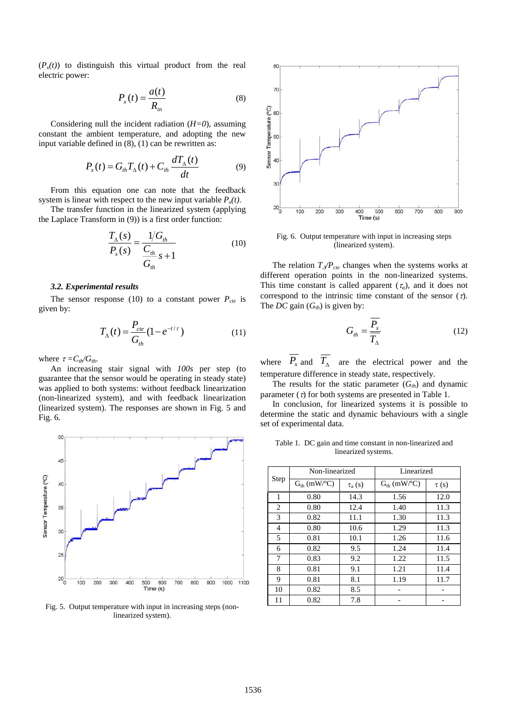$(P_x(t))$  to distinguish this virtual product from the real electric power:

$$
P_x(t) = \frac{a(t)}{R_{in}} \tag{8}
$$

Considering null the incident radiation (*H=0*), assuming constant the ambient temperature, and adopting the new input variable defined in (8), (1) can be rewritten as:

$$
P_x(t) = G_{th}T_{\Delta}(t) + C_{th}\frac{dT_{\Delta}(t)}{dt}
$$
 (9)

From this equation one can note that the feedback system is linear with respect to the new input variable  $P_x(t)$ .

The transfer function in the linearized system (applying the Laplace Transform in (9)) is a first order function:

$$
\frac{T_{\Delta}(s)}{P_{x}(s)} = \frac{1/G_{th}}{C_{th}} \frac{C_{th}}{S+1}
$$
(10)

## *3.2. Experimental results*

The sensor response (10) to a constant power  $P_{cte}$  is given by:

$$
T_{\Delta}(t) = \frac{P_{cte}}{G_{th}} (1 - e^{-t/\tau})
$$
 (11)

where  $\tau = C_{th}/G_{th}$ .

An increasing stair signal with *100s* per step (to guarantee that the sensor would be operating in steady state) was applied to both systems: without feedback linearization (non-linearized system), and with feedback linearization (linearized system). The responses are shown in Fig. 5 and Fig. 6.



Fig. 5. Output temperature with input in increasing steps (nonlinearized system).



Fig. 6. Output temperature with input in increasing steps (linearized system).

The relation  $T_{\Delta}/P_{cte}$  changes when the systems works at different operation points in the non-linearized systems. This time constant is called apparent  $(\tau_a)$ , and it does not correspond to the intrinsic time constant of the sensor  $(\tau)$ . The *DC* gain  $(G<sub>th</sub>)$  is given by:

$$
G_{th} = \frac{P_x}{T_{\Delta}} \tag{12}
$$

where  $\overline{P_x}$  and  $\overline{T_A}$  are the electrical power and the temperature difference in steady state, respectively.

The results for the static parameter  $(G<sub>th</sub>)$  and dynamic parameter  $(τ)$  for both systems are presented in Table 1.

In conclusion, for linearized systems it is possible to determine the static and dynamic behaviours with a single set of experimental data.

Table 1. DC gain and time constant in non-linearized and linearized systems.

| Step | Non-linearized   |             | Linearized       |           |
|------|------------------|-------------|------------------|-----------|
|      | $G_{th}$ (mW/°C) | $\tau_a(s)$ | $G_{th}$ (mW/°C) | $\tau(s)$ |
| 1    | 0.80             | 14.3        | 1.56             | 12.0      |
| 2    | 0.80             | 12.4        | 1.40             | 11.3      |
| 3    | 0.82             | 11.1        | 1.30             | 11.3      |
| 4    | 0.80             | 10.6        | 1.29             | 11.3      |
| 5    | 0.81             | 10.1        | 1.26             | 11.6      |
| 6    | 0.82             | 9.5         | 1.24             | 11.4      |
| 7    | 0.83             | 9.2         | 1.22             | 11.5      |
| 8    | 0.81             | 9.1         | 1.21             | 11.4      |
| 9    | 0.81             | 8.1         | 1.19             | 11.7      |
| 10   | 0.82             | 8.5         |                  |           |
| 11   | 0.82             | 7.8         |                  |           |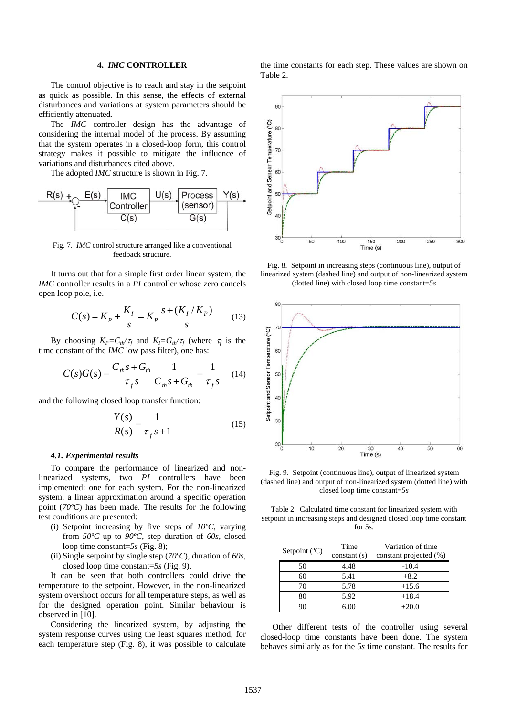#### **4.** *IMC* **CONTROLLER**

The control objective is to reach and stay in the setpoint as quick as possible. In this sense, the effects of external disturbances and variations at system parameters should be efficiently attenuated.

The *IMC* controller design has the advantage of considering the internal model of the process. By assuming that the system operates in a closed-loop form, this control strategy makes it possible to mitigate the influence of variations and disturbances cited above.

The adopted *IMC* structure is shown in Fig. 7.



Fig. 7. *IMC* control structure arranged like a conventional feedback structure.

It turns out that for a simple first order linear system, the *IMC* controller results in a *PI* controller whose zero cancels open loop pole, i.e.

$$
C(s) = K_p + \frac{K_I}{s} = K_p \frac{s + (K_I/K_p)}{s}
$$
 (13)

By choosing  $K_P = C_t/\tau_f$  and  $K_I = G_t/\tau_f$  (where  $\tau_f$  is the time constant of the *IMC* low pass filter), one has:

$$
C(s)G(s) = \frac{C_{th}s + G_{th}}{\tau_{f}s} \frac{1}{C_{th}s + G_{th}} = \frac{1}{\tau_{f}s}
$$
 (14)

and the following closed loop transfer function:

$$
\frac{Y(s)}{R(s)} = \frac{1}{\tau_f s + 1} \tag{15}
$$

#### *4.1. Experimental results*

To compare the performance of linearized and nonlinearized systems, two *PI* controllers have been implemented: one for each system. For the non-linearized system, a linear approximation around a specific operation point (*70ºC*) has been made. The results for the following test conditions are presented:

- (i) Setpoint increasing by five steps of *10ºC*, varying from *50ºC* up to *90ºC*, step duration of *60s*, closed loop time constant=*5s* (Fig. 8);
- (ii) Single setpoint by single step (*70ºC*), duration of *60s*, closed loop time constant=*5s* (Fig. 9).

It can be seen that both controllers could drive the temperature to the setpoint. However, in the non-linearized system overshoot occurs for all temperature steps, as well as for the designed operation point. Similar behaviour is observed in [10].

Considering the linearized system, by adjusting the system response curves using the least squares method, for each temperature step (Fig. 8), it was possible to calculate the time constants for each step. These values are shown on Table 2.



Fig. 8. Setpoint in increasing steps (continuous line), output of linearized system (dashed line) and output of non-linearized system (dotted line) with closed loop time constant=*5s*



Fig. 9. Setpoint (continuous line), output of linearized system (dashed line) and output of non-linearized system (dotted line) with closed loop time constant=*5s*

Table 2. Calculated time constant for linearized system with setpoint in increasing steps and designed closed loop time constant for 5s.

| Setpoint $(C)$ | Time<br>constant(s) | Variation of time<br>constant projected (%) |
|----------------|---------------------|---------------------------------------------|
| 50             | 4.48                | $-10.4$                                     |
| 60             | 5.41                | $+8.2$                                      |
| 70             | 5.78                | $+15.6$                                     |
| 80             | 5.92                | $+18.4$                                     |
|                | 6 OC                | $+20.0$                                     |

Other different tests of the controller using several closed-loop time constants have been done. The system behaves similarly as for the *5s* time constant. The results for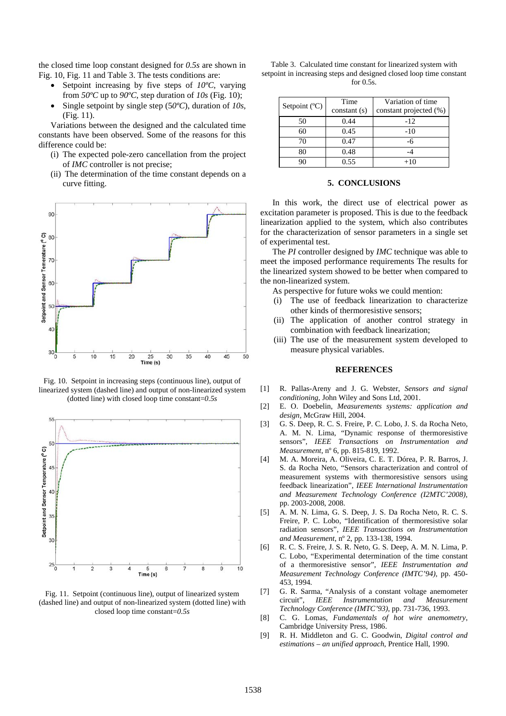the closed time loop constant designed for *0.5s* are shown in Fig. 10, Fig. 11 and Table 3. The tests conditions are:

- Setpoint increasing by five steps of *10ºC*, varying from *50ºC* up to *90ºC*, step duration of *10s* (Fig. 10);
- Single setpoint by single step (5*0ºC*), duration of *10s*, (Fig. 11).

Variations between the designed and the calculated time constants have been observed. Some of the reasons for this difference could be:

- (i) The expected pole-zero cancellation from the project of *IMC* controller is not precise;
- (ii) The determination of the time constant depends on a curve fitting.



Fig. 10. Setpoint in increasing steps (continuous line), output of linearized system (dashed line) and output of non-linearized system (dotted line) with closed loop time constant=*0.5s*



Fig. 11. Setpoint (continuous line), output of linearized system (dashed line) and output of non-linearized system (dotted line) with closed loop time constant=*0.5s* 

| Table 3. Calculated time constant for linearized system with        |
|---------------------------------------------------------------------|
| setpoint in increasing steps and designed closed loop time constant |
| for $0.5s$ .                                                        |

| Setpoint $(C)$ | Time<br>constant(s) | Variation of time<br>constant projected (%) |
|----------------|---------------------|---------------------------------------------|
| 50             | 0.44                | $-12$                                       |
| 60             | 0.45                | $-10$                                       |
| 70             | 0.47                | -6                                          |
| 80             | 0.48                |                                             |
| 90             | 0.55                | $+10$                                       |

## **5. CONCLUSIONS**

In this work, the direct use of electrical power as excitation parameter is proposed. This is due to the feedback linearization applied to the system, which also contributes for the characterization of sensor parameters in a single set of experimental test.

The *PI* controller designed by *IMC* technique was able to meet the imposed performance requirements The results for the linearized system showed to be better when compared to the non-linearized system.

As perspective for future woks we could mention:

- (i) The use of feedback linearization to characterize other kinds of thermoresistive sensors;
- (ii) The application of another control strategy in combination with feedback linearization;
- (iii) The use of the measurement system developed to measure physical variables.

#### **REFERENCES**

- [1] R. Pallas-Areny and J. G. Webster, *Sensors and signal conditioning*, John Wiley and Sons Ltd, 2001.
- [2] E. O. Doebelin, *Measurements systems: application and design*, McGraw Hill, 2004.
- [3] G. S. Deep, R. C. S. Freire, P. C. Lobo, J. S. da Rocha Neto, A. M. N. Lima, "Dynamic response of thermoresistive sensors", *IEEE Transactions on Instrumentation and Measurement*, nº 6, pp. 815-819, 1992.
- [4] M. A. Moreira, A. Oliveira, C. E. T. Dórea, P. R. Barros, J. S. da Rocha Neto, "Sensors characterization and control of measurement systems with thermoresistive sensors using feedback linearization", *IEEE International Instrumentation and Measurement Technology Conference (I2MTC'2008)*, pp. 2003-2008, 2008.
- [5] A. M. N. Lima, G. S. Deep, J. S. Da Rocha Neto, R. C. S. Freire, P. C. Lobo, "Identification of thermoresistive solar radiation sensors", *IEEE Transactions on Instrumentation and Measurement*, nº 2, pp. 133-138, 1994.
- [6] R. C. S. Freire, J. S. R. Neto, G. S. Deep, A. M. N. Lima, P. C. Lobo, "Experimental determination of the time constant of a thermoresistive sensor", *IEEE Instrumentation and Measurement Technology Conference (IMTC'94)*, pp. 450- 453, 1994.
- [7] G. R. Sarma, "Analysis of a constant voltage anemometer circuit", *IEEE Instrumentation and Measurement Technology Conference (IMTC'93)*, pp. 731-736, 1993.
- [8] C. G. Lomas, *Fundamentals of hot wire anemometry*, Cambridge University Press, 1986.
- [9] R. H. Middleton and G. C. Goodwin, *Digital control and estimations – an unified approach*, Prentice Hall, 1990.